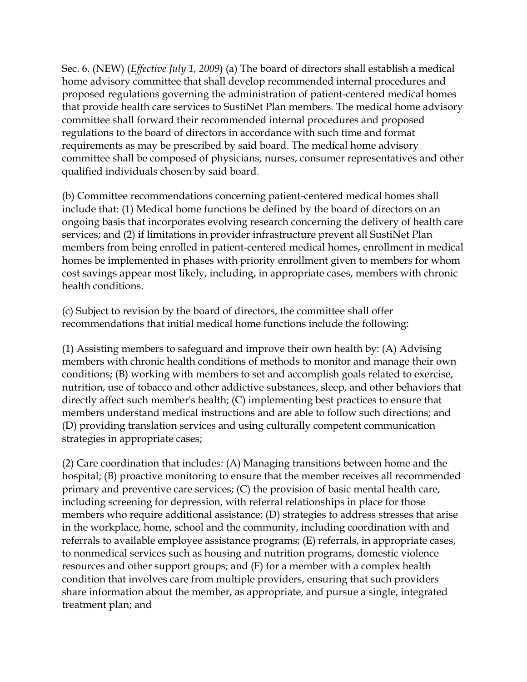Sec. 6. (NEW) (*Effective July 1, 2009*) (a) The board of directors shall establish a medical home advisory committee that shall develop recommended internal procedures and proposed regulations governing the administration of patient-centered medical homes that provide health care services to SustiNet Plan members. The medical home advisory committee shall forward their recommended internal procedures and proposed regulations to the board of directors in accordance with such time and format requirements as may be prescribed by said board. The medical home advisory committee shall be composed of physicians, nurses, consumer representatives and other qualified individuals chosen by said board.

(b) Committee recommendations concerning patient-centered medical homes shall include that: (1) Medical home functions be defined by the board of directors on an ongoing basis that incorporates evolving research concerning the delivery of health care services; and (2) if limitations in provider infrastructure prevent all SustiNet Plan members from being enrolled in patient-centered medical homes, enrollment in medical homes be implemented in phases with priority enrollment given to members for whom cost savings appear most likely, including, in appropriate cases, members with chronic health conditions.

(c) Subject to revision by the board of directors, the committee shall offer recommendations that initial medical home functions include the following:

(1) Assisting members to safeguard and improve their own health by: (A) Advising members with chronic health conditions of methods to monitor and manage their own conditions; (B) working with members to set and accomplish goals related to exercise, nutrition, use of tobacco and other addictive substances, sleep, and other behaviors that directly affect such member's health; (C) implementing best practices to ensure that members understand medical instructions and are able to follow such directions; and (D) providing translation services and using culturally competent communication strategies in appropriate cases;

(2) Care coordination that includes: (A) Managing transitions between home and the hospital; (B) proactive monitoring to ensure that the member receives all recommended primary and preventive care services; (C) the provision of basic mental health care, including screening for depression, with referral relationships in place for those members who require additional assistance; (D) strategies to address stresses that arise in the workplace, home, school and the community, including coordination with and referrals to available employee assistance programs; (E) referrals, in appropriate cases, to nonmedical services such as housing and nutrition programs, domestic violence resources and other support groups; and (F) for a member with a complex health condition that involves care from multiple providers, ensuring that such providers share information about the member, as appropriate, and pursue a single, integrated treatment plan; and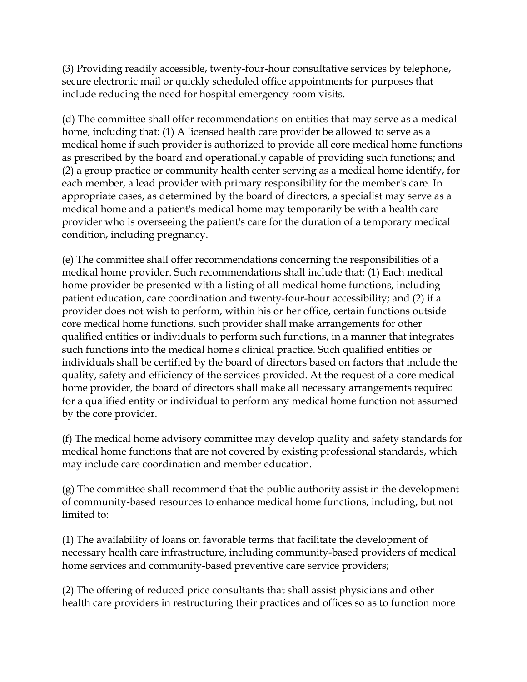(3) Providing readily accessible, twenty-four-hour consultative services by telephone, secure electronic mail or quickly scheduled office appointments for purposes that include reducing the need for hospital emergency room visits.

(d) The committee shall offer recommendations on entities that may serve as a medical home, including that: (1) A licensed health care provider be allowed to serve as a medical home if such provider is authorized to provide all core medical home functions as prescribed by the board and operationally capable of providing such functions; and (2) a group practice or community health center serving as a medical home identify, for each member, a lead provider with primary responsibility for the member's care. In appropriate cases, as determined by the board of directors, a specialist may serve as a medical home and a patient's medical home may temporarily be with a health care provider who is overseeing the patient's care for the duration of a temporary medical condition, including pregnancy.

(e) The committee shall offer recommendations concerning the responsibilities of a medical home provider. Such recommendations shall include that: (1) Each medical home provider be presented with a listing of all medical home functions, including patient education, care coordination and twenty-four-hour accessibility; and (2) if a provider does not wish to perform, within his or her office, certain functions outside core medical home functions, such provider shall make arrangements for other qualified entities or individuals to perform such functions, in a manner that integrates such functions into the medical home's clinical practice. Such qualified entities or individuals shall be certified by the board of directors based on factors that include the quality, safety and efficiency of the services provided. At the request of a core medical home provider, the board of directors shall make all necessary arrangements required for a qualified entity or individual to perform any medical home function not assumed by the core provider.

(f) The medical home advisory committee may develop quality and safety standards for medical home functions that are not covered by existing professional standards, which may include care coordination and member education.

(g) The committee shall recommend that the public authority assist in the development of community-based resources to enhance medical home functions, including, but not limited to:

(1) The availability of loans on favorable terms that facilitate the development of necessary health care infrastructure, including community-based providers of medical home services and community-based preventive care service providers;

(2) The offering of reduced price consultants that shall assist physicians and other health care providers in restructuring their practices and offices so as to function more